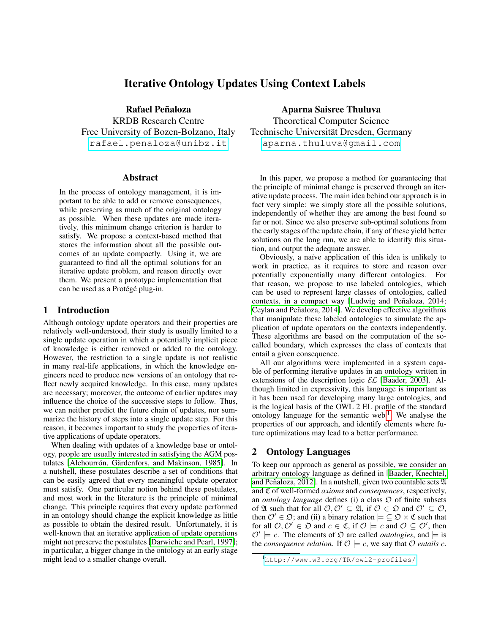# Iterative Ontology Updates Using Context Labels

Rafael Peñaloza KRDB Research Centre Free University of Bozen-Bolzano, Italy <rafael.penaloza@unibz.it>

### Abstract

In the process of ontology management, it is important to be able to add or remove consequences, while preserving as much of the original ontology as possible. When these updates are made iteratively, this minimum change criterion is harder to satisfy. We propose a context-based method that stores the information about all the possible outcomes of an update compactly. Using it, we are guaranteed to find all the optimal solutions for an iterative update problem, and reason directly over them. We present a prototype implementation that can be used as a Protégé plug-in.

### 1 Introduction

Although ontology update operators and their properties are relatively well-understood, their study is usually limited to a single update operation in which a potentially implicit piece of knowledge is either removed or added to the ontology. However, the restriction to a single update is not realistic in many real-life applications, in which the knowledge engineers need to produce new versions of an ontology that reflect newly acquired knowledge. In this case, many updates are necessary; moreover, the outcome of earlier updates may influence the choice of the successive steps to follow. Thus, we can neither predict the future chain of updates, nor summarize the history of steps into a single update step. For this reason, it becomes important to study the properties of iterative applications of update operators.

When dealing with updates of a knowledge base or ontology, people are usually interested in satisfying the AGM postulates [Alchourrón, Gärdenfors, and Makinson, 1985]. In a nutshell, these postulates describe a set of conditions that can be easily agreed that every meaningful update operator must satisfy. One particular notion behind these postulates, and most work in the literature is the principle of minimal change. This principle requires that every update performed in an ontology should change the explicit knowledge as little as possible to obtain the desired result. Unfortunately, it is well-known that an iterative application of update operations might not preserve the postulates [\[Darwiche and Pearl, 1997\]](#page-7-0); in particular, a bigger change in the ontology at an early stage might lead to a smaller change overall.

Aparna Saisree Thuluva Theoretical Computer Science Technische Universität Dresden, Germany <aparna.thuluva@gmail.com>

In this paper, we propose a method for guaranteeing that the principle of minimal change is preserved through an iterative update process. The main idea behind our approach is in fact very simple: we simply store all the possible solutions, independently of whether they are among the best found so far or not. Since we also preserve sub-optimal solutions from the early stages of the update chain, if any of these yield better solutions on the long run, we are able to identify this situation, and output the adequate answer.

Obviously, a naïve application of this idea is unlikely to work in practice, as it requires to store and reason over potentially exponentially many different ontologies. For that reason, we propose to use labeled ontologies, which can be used to represent large classes of ontologies, called contexts, in a compact way [Ludwig and Peñaloza, 2014; Ceylan and Peñaloza, 2014]. We develop effective algorithms that manipulate these labeled ontologies to simulate the application of update operators on the contexts independently. These algorithms are based on the computation of the socalled boundary, which expresses the class of contexts that entail a given consequence.

All our algorithms were implemented in a system capable of performing iterative updates in an ontology written in extensions of the description logic  $\mathcal{EL}$  [\[Baader, 2003\]](#page-7-3). Although limited in expressivity, this language is important as it has been used for developing many large ontologies, and is the logical basis of the OWL 2 EL profile of the standard ontology language for the semantic web.<sup>[1](#page-0-0)</sup> We analyse the properties of our approach, and identify elements where future optimizations may lead to a better performance.

### 2 Ontology Languages

To keep our approach as general as possible, we consider an arbitrary ontology language as defined in [\[Baader, Knechtel,](#page-7-4) and Peñaloza, 2012]. In a nutshell, given two countable sets  $\mathfrak A$ and C of well-formed *axioms* and *consequences*, respectively, an *ontology language* defines (i) a class  $\mathfrak D$  of finite subsets of  $\mathfrak A$  such that for all  $\mathcal O,\mathcal O'\subseteq \mathfrak A$ , if  $\mathcal O\in \mathfrak O$  and  $\mathcal O'\subseteq \mathcal O$ , then  $\mathcal{O}' \in \mathfrak{O}$ ; and (ii) a binary relation  $\models \subseteq \mathfrak{O} \times \mathfrak{C}$  such that for all  $\mathcal{O}, \mathcal{O}' \in \mathfrak{O}$  and  $c \in \mathfrak{C}$ , if  $\mathcal{O} \models c$  and  $\mathcal{O} \subseteq \mathcal{O}'$ , then  $\mathcal{O}' \models c$ . The elements of  $\mathfrak{O}$  are called *ontologies*, and  $\models$  is the *consequence relation*. If  $\mathcal{O} \models c$ , we say that  $\mathcal O$  *entails c.* 

<span id="page-0-0"></span><sup>1</sup><http://www.w3.org/TR/owl2-profiles/>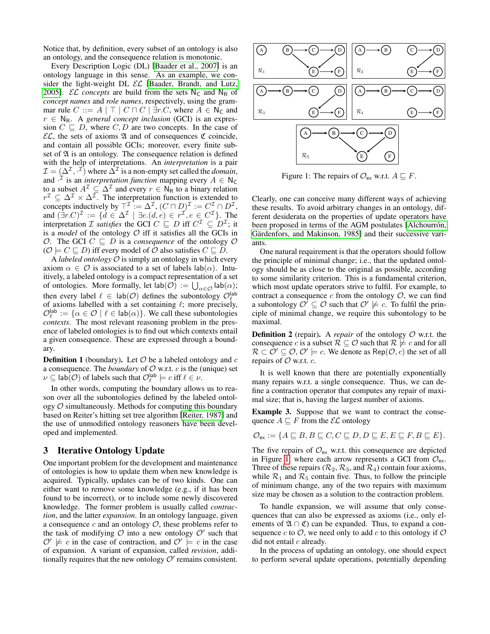Notice that, by definition, every subset of an ontology is also an ontology, and the consequence relation is monotonic.

Every Description Logic (DL) [\[Baader et al., 2007\]](#page-6-1) is an ontology language in this sense. As an example, we consider the light-weight DL  $\mathcal{EL}$  [\[Baader, Brandt, and Lutz,](#page-6-2) [2005\]](#page-6-2). *EL concepts* are build from the sets  $N_c$  and  $N_R$  of *concept names* and *role names*, respectively, using the grammar rule  $C ::= A | \top | C \sqcap C | \exists r.C$ , where  $A \in N_C$  and  $r \in N_R$ . A *general concept inclusion* (GCI) is an expression  $C \subseteq D$ , where  $C, D$  are two concepts. In the case of  $\mathcal{EL}$ , the sets of axioms  $\mathfrak A$  and of consequences  $\mathfrak C$  coincide, and contain all possible GCIs; moreover, every finite subset of  $\mathfrak A$  is an ontology. The consequence relation is defined with the help of interpretations. An *interpretation* is a pair  $\mathcal{I} = (\Delta^{\mathcal{I}}, \cdot^{\mathcal{I}})$  where  $\bar{\Delta}^{\mathcal{I}}$  is a non-empty set called the *domain*, and  $\cdot^{\mathcal{I}}$  is an *interpretation function* mapping every  $A \in \mathsf{N}_{\mathsf{C}}$ to a subset  $A^{\mathcal{I}} \subseteq \Delta^{\mathcal{I}}$  and every  $r \in \mathsf{N}_{\mathsf{R}}$  to a binary relation  $r^{\mathcal{I}} \subseteq \Delta^{\mathcal{I}} \times \Delta^{\mathcal{I}}$ . The interpretation function is extended to concepts inductively by  $\top^{\mathcal{I}} := \Delta^{\mathcal{I}}$ ,  $(C \sqcap D)^{\mathcal{I}} := C^{\mathcal{I}} \cap D^{\mathcal{I}}$ , and  $(\bar{\exists}r.C)^{\mathcal{I}} := \{d \in \Delta^{\mathcal{I}} \mid \exists e.(d,e) \in r^{\mathcal{I}}, e \in C^{\mathcal{I}}\}$ . The interpretation *I* satisfies the GCI  $C \subseteq D$  iff  $C^{\mathcal{I}} \subseteq D^{\mathcal{I}}$ ; it is a *model* of the ontology  $O$  iff it satisfies all the GCIs in O. The GCI  $C \subseteq D$  is a *consequence* of the ontology O  $(O \models C \sqsubseteq D)$  iff every model of O also satisfies  $C \sqsubseteq D$ .

A *labeled ontology* O is simply an ontology in which every axiom  $\alpha \in \mathcal{O}$  is associated to a set of labels  $\text{lab}(\alpha)$ . Intuitively, a labeled ontology is a compact representation of a set of ontologies. More formally, let  $\mathsf{lab}(\mathcal{O}) := \bigcup_{\alpha \in \mathcal{O}} \mathsf{lab}(\alpha);$ then every label  $\ell \in \text{lab}(\mathcal{O})$  defines the subontology  $\mathcal{O}_{\ell}^{\text{lab}}$ of axioms labelled with a set containing  $\ell$ ; more precisely,  $\mathcal{O}_{\ell}^{\mathsf{lab}} := \{ \alpha \in \mathcal{O} \mid \ell \in \mathsf{lab}(\alpha) \}.$  We call these subontologies *contexts*. The most relevant reasoning problem in the presence of labeled ontologies is to find out which contexts entail a given consequence. These are expressed through a boundary.

**Definition 1** (boundary). Let  $\mathcal{O}$  be a labeled ontology and  $c$ a consequence. The *boundary* of  $O$  w.r.t.  $c$  is the (unique) set  $\nu \subseteq \text{lab}(\mathcal{O})$  of labels such that  $\mathcal{O}_{\ell}^{\text{lab}} \models c$  iff  $\ell \in \nu$ .

In other words, computing the boundary allows us to reason over all the subontologies defined by the labeled ontology  $\mathcal O$  simultaneously. Methods for computing this boundary based on Reiter's hitting set tree algorithm [\[Reiter, 1987\]](#page-7-5) and the use of unmodified ontology reasoners have been developed and implemented.

# 3 Iterative Ontology Update

One important problem for the development and maintenance of ontologies is how to update them when new knowledge is acquired. Typically, updates can be of two kinds. One can either want to remove some knowledge (e.g., if it has been found to be incorrect), or to include some newly discovered knowledge. The former problem is usually called *contraction*, and the latter *expansion*. In an ontology language, given a consequence  $c$  and an ontology  $\mathcal{O}$ , these problems refer to the task of modifying  $\mathcal O$  into a new ontology  $\mathcal O'$  such that  $\mathcal{O}' \not\models c$  in the case of contraction, and  $\mathcal{O}' \not\models c$  in the case of expansion. A variant of expansion, called *revision*, additionally requires that the new ontology  $\mathcal{O}'$  remains consistent.



<span id="page-1-0"></span>Figure 1: The repairs of  $\mathcal{O}_{\mathsf{ex}}$  w.r.t.  $A \sqsubseteq F$ .

Clearly, one can conceive many different ways of achieving these results. To avoid arbitrary changes in an ontology, different desiderata on the properties of update operators have been proposed in terms of the AGM postulates [Alchourrón, Gärdenfors, and Makinson, 1985] and their successive variants.

One natural requirement is that the operators should follow the principle of minimal change; i.e., that the updated ontology should be as close to the original as possible, according to some similarity criterion. This is a fundamental criterion, which most update operators strive to fulfil. For example, to contract a consequence  $c$  from the ontology  $\mathcal{O}$ , we can find a subontology  $\mathcal{O}' \subseteq \mathcal{O}$  such that  $\mathcal{O}' \not\models c$ . To fulfil the principle of minimal change, we require this subontology to be maximal.

**Definition 2** (repair). A *repair* of the ontology  $O$  w.r.t. the consequence c is a subset  $\mathcal{R} \subseteq \mathcal{O}$  such that  $\mathcal{R} \not\models c$  and for all  $\mathcal{R} \subset \hat{\mathcal{O}}' \subseteq \mathcal{O}, \mathcal{O}' \models c.$  We denote as  $\mathsf{Rep}(\mathcal{O}, c)$  the set of all repairs of  $O$  w.r.t.  $c$ .

It is well known that there are potentially exponentially many repairs w.r.t. a single consequence. Thus, we can define a contraction operator that computes any repair of maximal size; that is, having the largest number of axioms.

<span id="page-1-1"></span>Example 3. Suppose that we want to contract the consequence  $A \sqsubseteq F$  from the  $\mathcal{EL}$  ontology

$$
\mathcal{O}_{\mathsf{ex}} := \{ A \sqsubseteq B, B \sqsubseteq C, C \sqsubseteq D, D \sqsubseteq E, E \sqsubseteq F, B \sqsubseteq E \}.
$$

The five repairs of  $\mathcal{O}_{\mathsf{ex}}$  w.r.t. this consequence are depicted in Figure [1,](#page-1-0) where each arrow represents a GCI from  $\mathcal{O}_{ex}$ . Three of these repairs ( $\mathcal{R}_2$ ,  $\mathcal{R}_3$ , and  $\mathcal{R}_4$ ) contain four axioms, while  $\mathcal{R}_1$  and  $\mathcal{R}_5$  contain five. Thus, to follow the principle of minimum change, any of the two repairs with maximum size may be chosen as a solution to the contraction problem.

To handle expansion, we will assume that only consequences that can also be expressed as axioms (i.e., only elements of  $\mathfrak{A} \cap \mathfrak{C}$  can be expanded. Thus, to expand a consequence  $c$  to  $\mathcal{O}$ , we need only to add  $c$  to this ontology if  $\mathcal O$ did not entail  $c$  already.

In the process of updating an ontology, one should expect to perform several update operations, potentially depending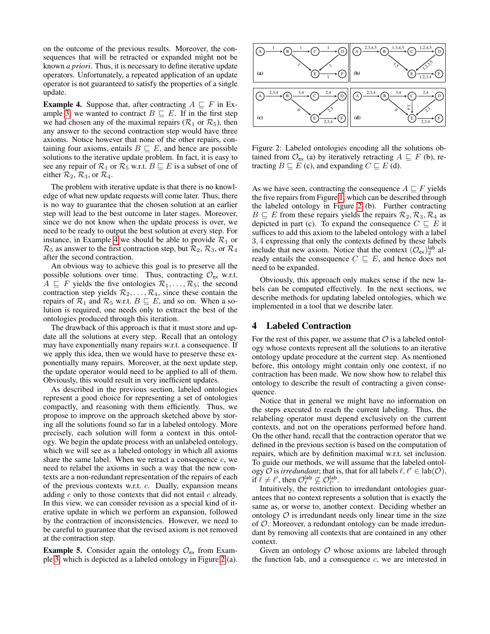on the outcome of the previous results. Moreover, the consequences that will be retracted or expanded might not be known *a priori*. Thus, it is necessary to define iterative update operators. Unfortunately, a repeated application of an update operator is not guaranteed to satisfy the properties of a single update.

<span id="page-2-0"></span>**Example 4.** Suppose that, after contracting  $A \subseteq F$  in Ex-ample [3,](#page-1-1) we wanted to contract  $B \sqsubseteq E$ . If in the first step we had chosen any of the maximal repairs ( $\mathcal{R}_1$  or  $\mathcal{R}_5$ ), then any answer to the second contraction step would have three axioms. Notice however that none of the other repairs, containing four axioms, entails  $B \subseteq E$ , and hence are possible solutions to the iterative update problem. In fact, it is easy to see any repair of  $\mathcal{R}_1$  or  $\mathcal{R}_5$  w.r.t.  $B \sqsubseteq E$  is a subset of one of either  $\mathcal{R}_2$ ,  $\mathcal{R}_3$ , or  $\mathcal{R}_4$ .

The problem with iterative update is that there is no knowledge of what new update requests will come later. Thus, there is no way to guarantee that the chosen solution at an earlier step will lead to the best outcome in later stages. Moreover, since we do not know when the update process is over, we need to be ready to output the best solution at every step. For instance, in Example [4](#page-2-0) we should be able to provide  $\mathcal{R}_1$  or  $\mathcal{R}_5$  as answer to the first contraction step, but  $\mathcal{R}_2$ ,  $\mathcal{R}_3$ , or  $\mathcal{R}_4$ after the second contraction.

An obvious way to achieve this goal is to preserve all the possible solutions over time. Thus, contracting  $\mathcal{O}_{\mathsf{ex}}$  w.r.t.  $A \subseteq F$  yields the five ontologies  $\mathcal{R}_1, \ldots, \mathcal{R}_5$ ; the second contraction step yields  $\mathcal{R}_2, \ldots, \mathcal{R}_4$ , since these contain the repairs of  $\mathcal{R}_1$  and  $\mathcal{R}_5$  w.r.t.  $B \sqsubseteq E$ , and so on. When a solution is required, one needs only to extract the best of the ontologies produced through this iteration.

The drawback of this approach is that it must store and update all the solutions at every step. Recall that an ontology may have exponentially many repairs w.r.t. a consequence. If we apply this idea, then we would have to preserve these exponentially many repairs. Moreover, at the next update step, the update operator would need to be applied to all of them. Obviously, this would result in very inefficient updates.

As described in the previous section, labeled ontologies represent a good choice for representing a set of ontologies compactly, and reasoning with them efficiently. Thus, we propose to improve on the approach sketched above by storing all the solutions found so far in a labeled ontology. More precisely, each solution will form a context in this ontology. We begin the update process with an unlabeled ontology, which we will see as a labeled ontology in which all axioms share the same label. When we retract a consequence  $c$ , we need to relabel the axioms in such a way that the new contexts are a non-redundant representation of the repairs of each of the previous contexts w.r.t. c. Dually, expansion means adding  $c$  only to those contexts that did not entail  $c$  already. In this view, we can consider revision as a special kind of iterative update in which we perform an expansion, followed by the contraction of inconsistencies. However, we need to be careful to guarantee that the revised axiom is not removed at the contraction step.

**Example 5.** Consider again the ontology  $\mathcal{O}_{\mathsf{ex}}$  from Example [3,](#page-1-1) which is depicted as a labeled ontology in Figure [2](#page-2-1) (a).



<span id="page-2-1"></span>Figure 2: Labeled ontologies encoding all the solutions obtained from  $\mathcal{O}_{\mathsf{ex}}$  (a) by iteratively retracting  $A \sqsubseteq F$  (b), retracting  $B \sqsubseteq E$  (c), and expanding  $C \sqsubseteq E$  (d).

As we have seen, contracting the consequence  $A \sqsubseteq F$  yields the five repairs from Figure [1,](#page-1-0) which can be described through the labeled ontology in Figure [2](#page-2-1) (b). Further contracting  $B \subseteq E$  from these repairs yields the repairs  $\mathcal{R}_2, \mathcal{R}_3, \mathcal{R}_4$  as depicted in part (c). To expand the consequence  $C \subseteq E$  it suffices to add this axiom to the labeled ontology with a label 3, 4 expressing that only the contexts defined by these labels include that new axiom. Notice that the context  $(\mathcal{O}_{\text{ex}})_2^{\text{lab}}$  already entails the consequence  $C \subseteq E$ , and hence does not need to be expanded.

Obviously, this approach only makes sense if the new labels can be computed effectively. In the next sections, we describe methods for updating labeled ontologies, which we implemented in a tool that we describe later.

# 4 Labeled Contraction

For the rest of this paper, we assume that  $\mathcal O$  is a labeled ontology whose contexts represent all the solutions to an iterative ontology update procedure at the current step. As mentioned before, this ontology might contain only one context, if no contraction has been made. We now show how to relabel this ontology to describe the result of contracting a given consequence.

Notice that in general we might have no information on the steps executed to reach the current labeling. Thus, the relabeling operator must depend exclusively on the current contexts, and not on the operations performed before hand. On the other hand, recall that the contraction operator that we defined in the previous section is based on the computation of repairs, which are by definition maximal w.r.t. set inclusion. To guide our methods, we will assume that the labeled ontology  $\mathcal O$  is *irredundant*; that is, that for all labels  $\ell, \ell' \in \text{lab}(\mathcal O)$ , if  $\ell \neq \ell'$ , then  $\mathcal{O}_{\ell}^{\text{lab}} \not\subseteq \mathcal{O}_{\ell'}^{\text{lab}}$ .

Intuitively, the restriction to irredundant ontologies guarantees that no context represents a solution that is exactly the same as, or worse to, another context. Deciding whether an ontology  $\mathcal O$  is irredundant needs only linear time in the size of O. Moreover, a redundant ontology can be made irredundant by removing all contexts that are contained in any other context.

Given an ontology  $O$  whose axioms are labeled through the function lab, and a consequence  $c$ , we are interested in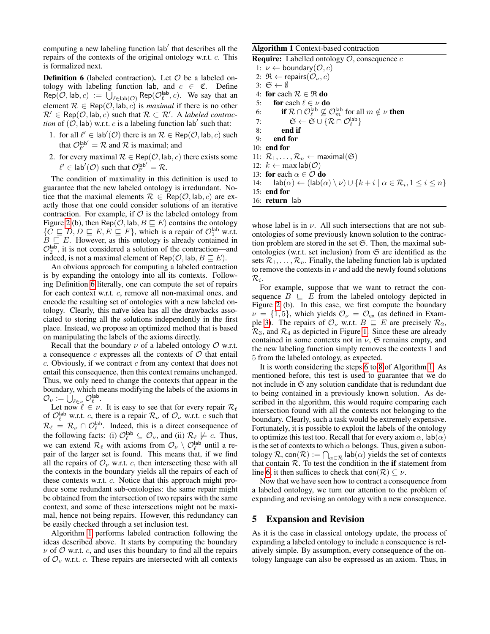computing a new labeling function lab' that describes all the repairs of the contexts of the original ontology w.r.t. c. This is formalized next.

<span id="page-3-0"></span>**Definition 6** (labeled contraction). Let  $\mathcal{O}$  be a labeled ontology with labeling function lab, and  $c \in \mathfrak{C}$ . Define  $Rep(\mathcal{O}, \mathsf{lab}, c) := \bigcup_{\ell \in \mathsf{lab}(\mathcal{O})} \mathsf{Rep}(\mathcal{O}_{\ell}^{\mathsf{lab}}, c)$ . We say that an element  $\mathcal{R} \in \text{Rep}(\mathcal{O}, \text{lab}, c)$  is *maximal* if there is no other  $\mathcal{R}' \in \text{Rep}(\mathcal{O}, \text{lab}, c)$  such that  $\mathcal{R} \subset \mathcal{R}'$ . A *labeled contraction* of  $(0,$  lab) w.r.t. c is a labeling function lab' such that:

- 1. for all  $\ell' \in \text{lab}'(\mathcal{O})$  there is an  $\mathcal{R} \in \text{Rep}(\mathcal{O}, \text{lab}, c)$  such that  $\mathcal{O}_{\ell'}^{\mathsf{lab'}} = \mathcal{R}$  and  $\mathcal{R}$  is maximal; and
- 2. for every maximal  $\mathcal{R} \in \text{Rep}(\mathcal{O}, \text{lab}, c)$  there exists some  $\ell' \in \text{lab}'(\mathcal{O})$  such that  $\mathcal{O}_{\ell'}^{\text{lab}'} = \mathcal{R}$ .

The condition of maximality in this definition is used to guarantee that the new labeled ontology is irredundant. Notice that the maximal elements  $\mathcal{R} \in \text{Rep}(\mathcal{O}, \text{lab}, c)$  are exactly those that one could consider solutions of an iterative contraction. For example, if  $\mathcal O$  is the labeled ontology from Figure [2](#page-2-1) (b), then Rep( $\mathcal{O}$ , lab,  $B \sqsubseteq E$ ) contains the ontology  $\{ \overline{C} \sqsubseteq D, D \sqsubseteq E, E \sqsubseteq F \}$ , which is a repair of  $\mathcal{O}_1^{\text{lab}}$  w.r.t.  $B \subseteq E$ . However, as this ontology is already contained in  $\mathcal{O}_2^{\text{lab}}$ , it is not considered a solution of the contraction—and indeed, is not a maximal element of Rep( $\mathcal{O}$ , lab,  $B \sqsubset E$ ).

An obvious approach for computing a labeled contraction is by expanding the ontology into all its contexts. Following Definition [6](#page-3-0) literally, one can compute the set of repairs for each context w.r.t. c, remove all non-maximal ones, and encode the resulting set of ontologies with a new labeled ontology. Clearly, this naïve idea has all the drawbacks associated to storing all the solutions independently in the first place. Instead, we propose an optimized method that is based on manipulating the labels of the axioms directly.

Recall that the boundary  $\nu$  of a labeled ontology  $\mathcal O$  w.r.t. a consequence c expresses all the contexts of  $\mathcal O$  that entail  $c$ . Obviously, if we contract  $c$  from any context that does not entail this consequence, then this context remains unchanged. Thus, we only need to change the contexts that appear in the boundary, which means modifying the labels of the axioms in  $\mathcal{O}_{\nu} := \dot{\bigcup}_{\ell \in \nu} \mathcal{O}_{\ell}^{\mathsf{lab}}.$ 

Let now  $\ell \in \nu$ . It is easy to see that for every repair  $\mathcal{R}_{\ell}$ of  $\mathcal{O}_{\ell}^{\text{lab}}$  w.r.t. c, there is a repair  $\mathcal{R}_{\nu}$  of  $\mathcal{O}_{\nu}$  w.r.t. c such that  $\mathcal{R}_{\ell} = \mathcal{R}_{\nu} \cap \mathcal{O}_{\ell}^{\text{lab}}$ . Indeed, this is a direct consequence of the following facts: (i)  $\mathcal{O}_{\ell}^{\text{lab}} \subseteq \mathcal{O}_{\nu}$ , and (ii)  $\mathcal{R}_{\ell} \not\models c$ . Thus, we can extend  $\mathcal{R}_\ell$  with axioms from  $\mathcal{O}_\nu \setminus \mathcal{O}_\ell^{\text{lab}}$  until a repair of the larger set is found. This means that, if we find all the repairs of  $\mathcal{O}_{\nu}$  w.r.t. c, then intersecting these with all the contexts in the boundary yields all the repairs of each of these contexts w.r.t. c. Notice that this approach might produce some redundant sub-ontologies: the same repair might be obtained from the intersection of two repairs with the same context, and some of these intersections might not be maximal, hence not being repairs. However, this redundancy can be easily checked through a set inclusion test.

Algorithm [1](#page-3-1) performs labeled contraction following the ideas described above. It starts by computing the boundary  $\nu$  of  $\mathcal O$  w.r.t. c, and uses this boundary to find all the repairs of  $\mathcal{O}_{\nu}$  w.r.t. c. These repairs are intersected with all contexts Algorithm 1 Context-based contraction

<span id="page-3-1"></span>**Require:** Labelled ontology  $\mathcal{O}$ , consequence  $c$ 1:  $\nu \leftarrow$  boundary( $\mathcal{O}, c$ ) 2:  $\mathfrak{R} \leftarrow$  repairs $(\mathcal{O}_{\nu}, c)$ 3:  $\mathfrak{S} \leftarrow \emptyset$ 

<span id="page-3-3"></span><span id="page-3-2"></span>4: for each  $\mathcal{R} \in \mathfrak{R}$  do 5: for each  $\ell \in \nu$  do 6: **if**  $\mathcal{R} \cap \mathcal{O}_{\ell}^{\text{lab}} \not\subseteq \mathcal{O}_{m}^{\text{lab}}$  for all  $m \notin \nu$  **then** 7:  $\mathfrak{S} \leftarrow \mathfrak{S} \cup \{ \mathcal{R} \cap \mathcal{O}_{\ell}^{\mathsf{lab}} \}$ 8: end if 9: end for 10: end for 11:  $\mathcal{R}_1, \ldots, \mathcal{R}_n \leftarrow \text{maximal}(\mathfrak{S})$ 12:  $k \leftarrow \max \mathsf{lab}(\mathcal{O})$ 13: for each  $\alpha \in \mathcal{O}$  do 14:  $\text{lab}(\alpha) \leftarrow (\text{lab}(\alpha) \setminus \nu) \cup \{k + i \mid \alpha \in \mathcal{R}_i, 1 \leq i \leq n\}$ 15: end for

16: return lab

whose label is in  $\nu$ . All such intersections that are not subontologies of some previously known solution to the contraction problem are stored in the set  $\mathfrak{S}$ . Then, the maximal subontologies (w.r.t. set inclusion) from  $\mathfrak S$  are identified as the sets  $\mathcal{R}_1, \ldots, \mathcal{R}_n$ . Finally, the labeling function lab is updated to remove the contexts in  $\nu$  and add the newly found solutions

 $\mathcal{R}_i.$ For example, suppose that we want to retract the consequence  $B \subseteq E$  from the labeled ontology depicted in Figure [2](#page-2-1) (b). In this case, we first compute the boundary  $\nu = \{1, 5\}$ , which yields  $\mathcal{O}_{\nu} = \mathcal{O}_{\rm ex}$  (as defined in Exam-ple [3\)](#page-1-1). The repairs of  $\mathcal{O}_{\nu}$  w.r.t.  $B \subseteq E$  are precisely  $\mathcal{R}_2$ ,  $\mathcal{R}_3$ , and  $\mathcal{R}_4$  as depicted in Figure [1.](#page-1-0) Since these are already contained in some contexts not in  $\nu$ ,  $\mathfrak S$  remains empty, and the new labeling function simply removes the contexts 1 and 5 from the labeled ontology, as expected.

It is worth considering the steps [6](#page-3-2) to [8](#page-3-3) of Algorithm [1.](#page-3-1) As mentioned before, this test is used to guarantee that we do not include in  $\mathfrak S$  any solution candidate that is redundant due to being contained in a previously known solution. As described in the algorithm, this would require comparing each intersection found with all the contexts not belonging to the boundary. Clearly, such a task would be extremely expensive. Fortunately, it is possible to exploit the labels of the ontology to optimize this test too. Recall that for every axiom  $\alpha$ ,  $\vert ab(\alpha) \vert$ is the set of contexts to which  $\alpha$  belongs. Thus, given a subontology  $\mathcal{R}$ , con $(\mathcal{R}) := \bigcap_{\alpha \in \mathcal{R}} \mathsf{lab}(\alpha)$  yields the set of contexts that contain  $R$ . To test the condition in the if statement from line [6,](#page-3-2) it then suffices to check that con( $\mathcal{R}$ )  $\subseteq \nu$ .

Now that we have seen how to contract a consequence from a labeled ontology, we turn our attention to the problem of expanding and revising an ontology with a new consequence.

### 5 Expansion and Revision

As it is the case in classical ontology update, the process of expanding a labeled ontology to include a consequence is relatively simple. By assumption, every consequence of the ontology language can also be expressed as an axiom. Thus, in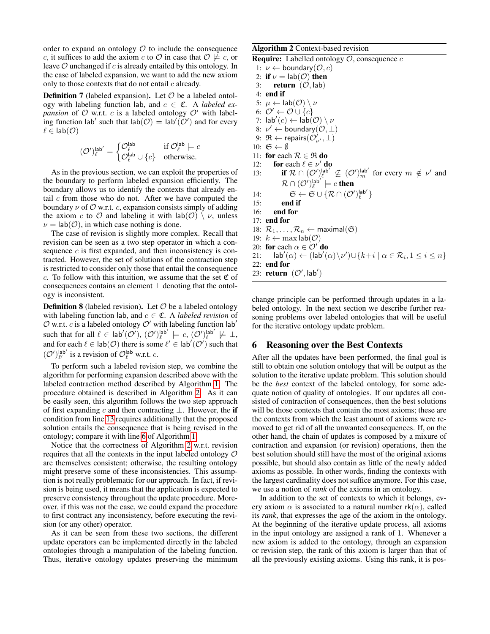order to expand an ontology  $\mathcal O$  to include the consequence c, it suffices to add the axiom c to  $\mathcal O$  in case that  $\mathcal O \not\models c$ , or leave  $O$  unchanged if  $c$  is already entailed by this ontology. In the case of labeled expansion, we want to add the new axiom only to those contexts that do not entail  $c$  already.

**Definition 7** (labeled expansion). Let  $O$  be a labeled ontology with labeling function lab, and  $c \in \mathfrak{C}$ . A *labeled expansion* of  $O$  w.r.t.  $c$  is a labeled ontology  $O'$  with labeling function lab' such that  $\text{lab}(\mathcal{O}) = \text{lab}'(\mathcal{O}')$  and for every  $\ell \in \text{lab}(\mathcal{O})$ 

$$
(\mathcal{O}')^\text{lab'}_{\ell} = \begin{cases} \mathcal{O}^\text{lab}_{\ell} & \text{if } \mathcal{O}^\text{lab}_{\ell} \models c \\ \mathcal{O}^\text{lab}_{\ell} \cup \{c\} & \text{otherwise.} \end{cases}
$$

As in the previous section, we can exploit the properties of the boundary to perform labeled expansion efficiently. The boundary allows us to identify the contexts that already entail  $c$  from those who do not. After we have computed the boundary  $\nu$  of  $\mathcal O$  w.r.t. c, expansion consists simply of adding the axiom c to O and labeling it with  $\text{lab}(\mathcal{O}) \setminus \nu$ , unless  $\nu = \text{lab}(\mathcal{O})$ , in which case nothing is done.

The case of revision is slightly more complex. Recall that revision can be seen as a two step operator in which a consequence  $c$  is first expanded, and then inconsistency is contracted. However, the set of solutions of the contraction step is restricted to consider only those that entail the consequence c. To follow with this intuition, we assume that the set  $\mathfrak C$  of consequences contains an element  $\perp$  denoting that the ontology is inconsistent.

**Definition 8** (labeled revision). Let  $\mathcal{O}$  be a labeled ontology with labeling function lab, and  $c \in \mathfrak{C}$ . A *labeled revision* of  $O$  w.r.t. c is a labeled ontology  $O'$  with labeling function lab<sup>'</sup> such that for all  $\ell \in \text{lab}'(\mathcal{O}'),$   $(\mathcal{O}')_e^{\text{lab}'} \models c,$   $(\mathcal{O}')_e^{\text{lab}'} \not\models \bot$ , and for each  $\ell \in \text{lab}(\mathcal{O})$  there is some  $\ell' \in \text{lab}'(\mathcal{O}')$  such that  $(\mathcal{O}')_{\ell'}^{\text{lab'}}$  is a revision of  $\mathcal{O}_{\ell}^{\text{lab}}$  w.r.t. c.

To perform such a labeled revision step, we combine the algorithm for performing expansion described above with the labeled contraction method described by Algorithm [1.](#page-3-1) The procedure obtained is described in Algorithm [2.](#page-4-0) As it can be easily seen, this algorithm follows the two step approach of first expanding c and then contracting  $\bot$ . However, the if condition from line [13](#page-4-1) requires additionally that the proposed solution entails the consequence that is being revised in the ontology; compare it with line [6](#page-3-2) of Algorithm [1.](#page-3-1)

Notice that the correctness of Algorithm [2](#page-4-0) w.r.t. revision requires that all the contexts in the input labeled ontology  $\mathcal O$ are themselves consistent; otherwise, the resulting ontology might preserve some of these inconsistencies. This assumption is not really problematic for our approach. In fact, if revision is being used, it means that the application is expected to preserve consistency throughout the update procedure. Moreover, if this was not the case, we could expand the procedure to first contract any inconsistency, before executing the revision (or any other) operator.

As it can be seen from these two sections, the different update operators can be implemented directly in the labeled ontologies through a manipulation of the labeling function. Thus, iterative ontology updates preserving the minimum

#### Algorithm 2 Context-based revision

<span id="page-4-0"></span>**Require:** Labelled ontology  $\mathcal{O}$ , consequence  $c$ 

<span id="page-4-1"></span>1:  $\nu \leftarrow$  boundary( $\mathcal{O}, c$ ) 2: if  $\nu = \text{lab}(\mathcal{O})$  then 3: return  $(\mathcal{O}, \mathsf{lab})$ 4: end if 5:  $\mu \leftarrow \text{lab}(\mathcal{O}) \setminus \nu$ 6:  $\mathcal{O}' \leftarrow \mathcal{O} \cup \{c\}$ 7:  $\mathsf{lab}'(c) \leftarrow \mathsf{lab}(\mathcal{O}) \setminus \nu$ 8:  $\nu' \leftarrow$  boundary $(\mathcal{O}, \perp)$ 9:  $\mathfrak{R} \leftarrow \text{repairs}(\mathcal{O}_{\nu'}^{\prime}, \perp)$ 10:  $\mathfrak{S} \leftarrow \emptyset$ 11: for each  $\mathcal{R} \in \mathfrak{R}$  do 12: for each  $\ell \in \nu'$  do 13: **if**  $\mathcal{R} \cap (\mathcal{O}')_{\ell}^{\mathsf{lab}'} \not\subseteq (\mathcal{O}')_{m}^{\mathsf{lab}'}$  for every  $m \notin \nu'$  and  $\mathcal{R}\cap (\mathcal{O}^{\prime})_{\ell}^{\mathsf{lab}^{\prime}}\models c$  then 14:  $\mathfrak{S} \leftarrow \mathfrak{S} \cup \{ \mathcal{R} \cap (\mathcal{O}^\prime)_{\ell}^{\mathsf{lab}^\prime} \}$ 15: end if 16: end for 17: end for 18:  $\mathcal{R}_1, \ldots, \mathcal{R}_n \leftarrow \text{maximal}(\mathfrak{S})$ 19:  $k \leftarrow \max \mathsf{lab}(\mathcal{O})$ 20: for each  $\alpha \in \mathcal{O}'$  do 21:  $\operatorname{lab}'(\alpha) \leftarrow (\operatorname{lab}'(\alpha) \setminus \nu') \cup \{k+i \mid \alpha \in \mathcal{R}_i, 1 \leq i \leq n\}$ 22: end for 23: **return**  $(\mathcal{O}', \mathsf{lab}')$ 

change principle can be performed through updates in a labeled ontology. In the next section we describe further reasoning problems over labeled ontologies that will be useful for the iterative ontology update problem.

# 6 Reasoning over the Best Contexts

After all the updates have been performed, the final goal is still to obtain one solution ontology that will be output as the solution to the iterative update problem. This solution should be the *best* context of the labeled ontology, for some adequate notion of quality of ontologies. If our updates all consisted of contraction of consequences, then the best solutions will be those contexts that contain the most axioms; these are the contexts from which the least amount of axioms were removed to get rid of all the unwanted consequences. If, on the other hand, the chain of updates is composed by a mixure of contraction and expansion (or revision) operations, then the best solution should still have the most of the original axioms possible, but should also contain as little of the newly added axioms as possible. In other words, finding the contexts with the largest cardinality does not suffice anymore. For this case, we use a notion of *rank* of the axioms in an ontology.

In addition to the set of contexts to which it belongs, every axiom  $\alpha$  is associated to a natural number rk( $\alpha$ ), called its *rank*, that expresses the age of the axiom in the ontology. At the beginning of the iterative update process, all axioms in the input ontology are assigned a rank of 1. Whenever a new axiom is added to the ontology, through an expansion or revision step, the rank of this axiom is larger than that of all the previously existing axioms. Using this rank, it is pos-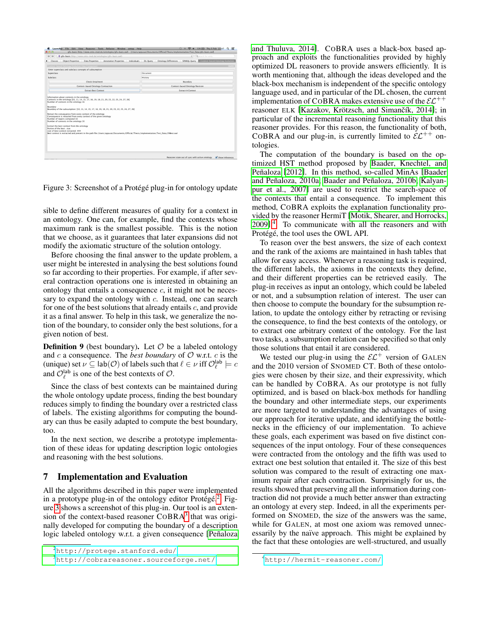

<span id="page-5-1"></span>Figure 3: Screenshot of a Protégé plug-in for ontology update

sible to define different measures of quality for a context in an ontology. One can, for example, find the contexts whose maximum rank is the smallest possible. This is the notion that we choose, as it guarantees that later expansions did not modify the axiomatic structure of the solution ontology.

Before choosing the final answer to the update problem, a user might be interested in analysing the best solutions found so far according to their properties. For example, if after several contraction operations one is interested in obtaining an ontology that entails a consequence  $c$ , it might not be necessary to expand the ontology with  $c$ . Instead, one can search for one of the best solutions that already entails  $c$ , and provide it as a final answer. To help in this task, we generalize the notion of the boundary, to consider only the best solutions, for a given notion of best.

**Definition 9** (best boundary). Let  $\mathcal{O}$  be a labeled ontology and  $c$  a consequence. The *best boundary* of  $O$  w.r.t.  $c$  is the (unique) set  $\nu \subseteq \text{lab}(\mathcal{O})$  of labels such that  $\ell \in \nu$  iff  $\mathcal{O}_{\ell}^{\text{lab}} \models c$ and  $\mathcal{O}_{\ell}^{\text{lab}}$  is one of the best contexts of  $\mathcal{O}.$ 

Since the class of best contexts can be maintained during the whole ontology update process, finding the best boundary reduces simply to finding the boundary over a restricted class of labels. The existing algorithms for computing the boundary can thus be easily adapted to compute the best boundary, too.

In the next section, we describe a prototype implementation of these ideas for updating description logic ontologies and reasoning with the best solutions.

### 7 Implementation and Evaluation

All the algorithms described in this paper were implemented in a prototype plug-in of the ontology editor Protégé.<sup>[2](#page-5-0)</sup> Figure [3](#page-5-1) shows a screenshot of this plug-in. Our tool is an extension of the context-based reasoner  $COBRA<sup>3</sup>$  $COBRA<sup>3</sup>$  $COBRA<sup>3</sup>$  that was originally developed for computing the boundary of a description logic labeled ontology w.r.t. a given consequence [Peñaloza] [and Thuluva, 2014\]](#page-7-6). COBRA uses a black-box based approach and exploits the functionalities provided by highly optimized DL reasoners to provide answers efficiently. It is worth mentioning that, although the ideas developed and the black-box mechanism is independent of the specific ontology language used, and in particular of the DL chosen, the current implementation of COBRA makes extensive use of the  $\mathcal{EL}^{++}$ reasoner ELK [Kazakov, Krötzsch, and Simančík, 2014]; in particular of the incremental reasoning functionality that this reasoner provides. For this reason, the functionality of both, COBRA and our plug-in, is currently limited to  $\mathcal{EL}^{++}$  ontologies.

The computation of the boundary is based on the optimized HST method proposed by [Baader, Knechtel, and](#page-7-4) Peñaloza [\[2012\]](#page-7-4). In this method, so-called MinAs [\[Baader](#page-6-3)] and Peñaloza, 2010a; [Baader and Pe](#page-6-4)ñaloza, 2010b; [Kalyan](#page-7-8) [pur et al., 2007\]](#page-7-8) are used to restrict the search-space of the contexts that entail a consequence. To implement this method, COBRA exploits the explanation functionality provided by the reasoner HermiT [\[Motik, Shearer, and Horrocks,](#page-7-9)  $2009$ ].<sup>[4](#page-5-3)</sup> To communicate with all the reasoners and with Protégé, the tool uses the OWL API.

To reason over the best answers, the size of each context and the rank of the axioms are maintained in hash tables that allow for easy access. Whenever a reasoning task is required, the different labels, the axioms in the contexts they define, and their different properties can be retrieved easily. The plug-in receives as input an ontology, which could be labeled or not, and a subsumption relation of interest. The user can then choose to compute the boundary for the subsumption relation, to update the ontology either by retracting or revising the consequence, to find the best contexts of the ontology, or to extract one arbitrary context of the ontology. For the last two tasks, a subsumption relation can be specified so that only those solutions that entail it are considered.

We tested our plug-in using the  $\mathcal{EL}^+$  version of GALEN and the 2010 version of SNOMED CT. Both of these ontologies were chosen by their size, and their expressivity, which can be handled by COBRA. As our prototype is not fully optimized, and is based on black-box methods for handling the boundary and other intermediate steps, our experiments are more targeted to understanding the advantages of using our approach for iterative update, and identifying the bottlenecks in the efficiency of our implementation. To achieve these goals, each experiment was based on five distinct consequences of the input ontology. Four of these consequences were contracted from the ontology and the fifth was used to extract one best solution that entailed it. The size of this best solution was compared to the result of extracting one maximum repair after each contraction. Surprisingly for us, the results showed that preserving all the information during contraction did not provide a much better answer than extracting an ontology at every step. Indeed, in all the experiments performed on SNOMED, the size of the answers was the same, while for GALEN, at most one axiom was removed unnecessarily by the naïve approach. This might be explained by the fact that these ontologies are well-structured, and usually

<span id="page-5-0"></span><sup>2</sup>[http://protege.stanford.edu/](#page-7-6)

<span id="page-5-2"></span><sup>3</sup>[http://cobrareasoner.sourceforge.net/](#page-7-6)

<span id="page-5-3"></span><sup>4</sup><http://hermit-reasoner.com/>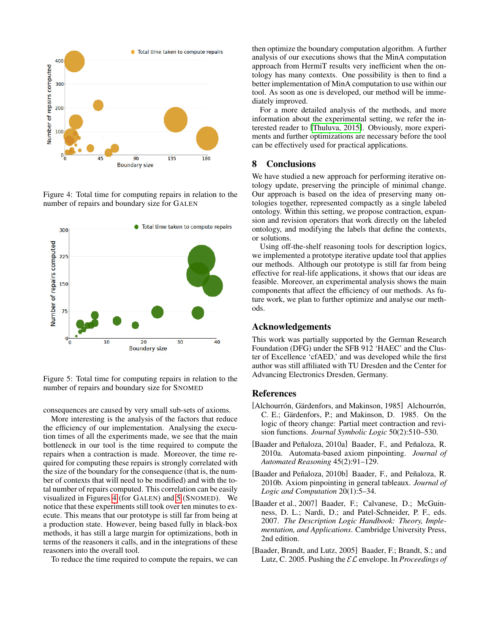

<span id="page-6-5"></span>Figure 4: Total time for computing repairs in relation to the number of repairs and boundary size for GALEN



<span id="page-6-6"></span>Figure 5: Total time for computing repairs in relation to the number of repairs and boundary size for SNOMED

consequences are caused by very small sub-sets of axioms.

More interesting is the analysis of the factors that reduce the efficiency of our implementation. Analysing the execution times of all the experiments made, we see that the main bottleneck in our tool is the time required to compute the repairs when a contraction is made. Moreover, the time required for computing these repairs is strongly correlated with the size of the boundary for the consequence (that is, the number of contexts that will need to be modified) and with the total number of repairs computed. This correlation can be easily visualized in Figures [4](#page-6-5) (for GALEN) and [5](#page-6-6) (SNOMED). We notice that these experiments still took over ten minutes to execute. This means that our prototype is still far from being at a production state. However, being based fully in black-box methods, it has still a large margin for optimizations, both in terms of the reasoners it calls, and in the integrations of these reasoners into the overall tool.

To reduce the time required to compute the repairs, we can

then optimize the boundary computation algorithm. A further analysis of our executions shows that the MinA computation approach from HermiT results very inefficient when the ontology has many contexts. One possibility is then to find a better implementation of MinA computation to use within our tool. As soon as one is developed, our method will be immediately improved.

For a more detailed analysis of the methods, and more information about the experimental setting, we refer the interested reader to [\[Thuluva, 2015\]](#page-7-10). Obviously, more experiments and further optimizations are necessary before the tool can be effectively used for practical applications.

## 8 Conclusions

We have studied a new approach for performing iterative ontology update, preserving the principle of minimal change. Our approach is based on the idea of preserving many ontologies together, represented compactly as a single labeled ontology. Within this setting, we propose contraction, expansion and revision operators that work directly on the labeled ontology, and modifying the labels that define the contexts, or solutions.

Using off-the-shelf reasoning tools for description logics, we implemented a prototype iterative update tool that applies our methods. Although our prototype is still far from being effective for real-life applications, it shows that our ideas are feasible. Moreover, an experimental analysis shows the main components that affect the efficiency of our methods. As future work, we plan to further optimize and analyse our methods.

### Acknowledgements

This work was partially supported by the German Research Foundation (DFG) under the SFB 912 'HAEC' and the Cluster of Excellence 'cfAED,' and was developed while the first author was still affiliated with TU Dresden and the Center for Advancing Electronics Dresden, Germany.

# References

- <span id="page-6-0"></span>[Alchourrón, Gärdenfors, and Makinson, 1985] Alchourrón, C. E.; Gärdenfors, P.; and Makinson, D. 1985. On the logic of theory change: Partial meet contraction and revision functions. *Journal Symbolic Logic* 50(2):510–530.
- <span id="page-6-3"></span>[Baader and Peñaloza, 2010a] Baader, F., and Peñaloza, R. 2010a. Automata-based axiom pinpointing. *Journal of Automated Reasoning* 45(2):91–129.
- <span id="page-6-4"></span>[Baader and Peñaloza, 2010b] Baader, F., and Peñaloza, R. 2010b. Axiom pinpointing in general tableaux. *Journal of Logic and Computation* 20(1):5–34.
- <span id="page-6-1"></span>[Baader et al., 2007] Baader, F.; Calvanese, D.; McGuinness, D. L.; Nardi, D.; and Patel-Schneider, P. F., eds. 2007. *The Description Logic Handbook: Theory, Implementation, and Applications*. Cambridge University Press, 2nd edition.
- <span id="page-6-2"></span>[Baader, Brandt, and Lutz, 2005] Baader, F.; Brandt, S.; and Lutz, C. 2005. Pushing the EL envelope. In *Proceedings of*